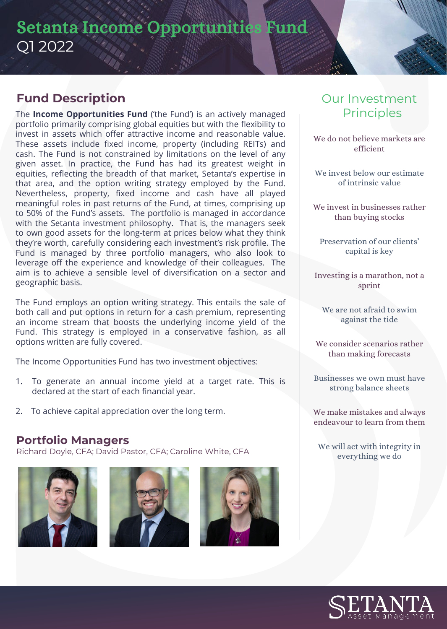# Setanta Income Opportunities Fund Q1 2022

### **Fund Description**

The **Income Opportunities Fund** ('the Fund') is an actively managed portfolio primarily comprising global equities but with the flexibility to invest in assets which offer attractive income and reasonable value. These assets include fixed income, property (including REITs) and cash. The Fund is not constrained by limitations on the level of any given asset. In practice, the Fund has had its greatest weight in equities, reflecting the breadth of that market, Setanta's expertise in that area, and the option writing strategy employed by the Fund. Nevertheless, property, fixed income and cash have all played meaningful roles in past returns of the Fund, at times, comprising up to 50% of the Fund's assets. The portfolio is managed in accordance with the Setanta investment philosophy. That is, the managers seek to own good assets for the long-term at prices below what they think they're worth, carefully considering each investment's risk profile. The Fund is managed by three portfolio managers, who also look to leverage off the experience and knowledge of their colleagues. The aim is to achieve a sensible level of diversification on a sector and geographic basis.

The Fund employs an option writing strategy. This entails the sale of both call and put options in return for a cash premium, representing an income stream that boosts the underlying income yield of the Fund. This strategy is employed in a conservative fashion, as all options written are fully covered.

The Income Opportunities Fund has two investment objectives:

- 1. To generate an annual income yield at a target rate. This is declared at the start of each financial year.
- 2. To achieve capital appreciation over the long term.

### **Portfolio Managers**

Richard Doyle, CFA; David Pastor, CFA; Caroline White, CFA







# Our Investment **Principles**

We do not believe markets are efficient

We invest below our estimate of intrinsic value

We invest in businesses rather than buying stocks

Preservation of our clients' capital is key

Investing is a marathon, not a sprint

We are not afraid to swim against the tide

We consider scenarios rather than making forecasts

Businesses we own must have strong balance sheets

We make mistakes and always endeavour to learn from them

We will act with integrity in everything we do

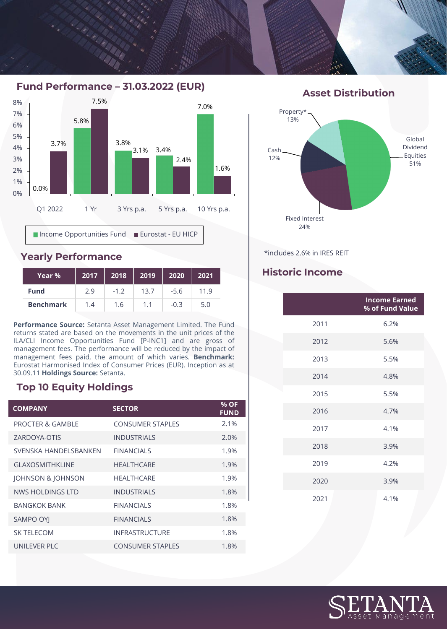**Fund Performance – 31.03.2022 (EUR)**



#### **Yearly Performance**

| Year %           | 2017 | 2018   | 2019 | 2020   | 2021 |
|------------------|------|--------|------|--------|------|
| <b>Fund</b>      | 2.9  | $-1.2$ | 13.7 | $-5.6$ | 19   |
| <b>Benchmark</b> | 1.4  | 1.6    |      | -0.3   | 5.0  |

**Performance Source:** Setanta Asset Management Limited. The Fund returns stated are based on the movements in the unit prices of the ILA/CLI Income Opportunities Fund [P-INC1] and are gross of management fees. The performance will be reduced by the impact of management fees paid, the amount of which varies. **Benchmark:** Eurostat Harmonised Index of Consumer Prices (EUR). Inception as at 30.09.11 **Holdings Source:** Setanta.

#### **Top 10 Equity Holdings**

| <b>COMPANY</b>               | <b>SECTOR</b>           | % OF<br><b>FUND</b> |
|------------------------------|-------------------------|---------------------|
| <b>PROCTER &amp; GAMBLE</b>  | <b>CONSUMER STAPLES</b> | 2.1%                |
| ZARDOYA-OTIS                 | <b>INDUSTRIALS</b>      | 2.0%                |
| SVENSKA HANDELSBANKEN        | <b>FINANCIALS</b>       | 1.9%                |
| <b>GLAXOSMITHKLINE</b>       | <b>HEALTHCARE</b>       | 1.9%                |
| <b>JOHNSON &amp; JOHNSON</b> | <b>HEALTHCARE</b>       | 1.9%                |
| NWS HOLDINGS LTD             | <b>INDUSTRIALS</b>      | 1.8%                |
| <b>BANGKOK BANK</b>          | <b>FINANCIALS</b>       | 1.8%                |
| <b>SAMPO OYI</b>             | <b>FINANCIALS</b>       | 1.8%                |
| <b>SK TELECOM</b>            | <b>INFRASTRUCTURE</b>   | 1.8%                |
| UNILEVER PLC                 | <b>CONSUMER STAPLES</b> | 1.8%                |

#### **Asset Distribution**



\*includes 2.6% in IRES REIT

### **Historic Income**

|      | <b>Income Earned</b><br>% of Fund Value |  |  |
|------|-----------------------------------------|--|--|
| 2011 | 6.2%                                    |  |  |
| 2012 | 5.6%                                    |  |  |
| 2013 | 5.5%                                    |  |  |
| 2014 | 4.8%                                    |  |  |
| 2015 | 5.5%                                    |  |  |
| 2016 | 4.7%                                    |  |  |
| 2017 | 4.1%                                    |  |  |
| 2018 | 3.9%                                    |  |  |
| 2019 | 4.2%                                    |  |  |
| 2020 | 3.9%                                    |  |  |
| 2021 | 4.1%                                    |  |  |

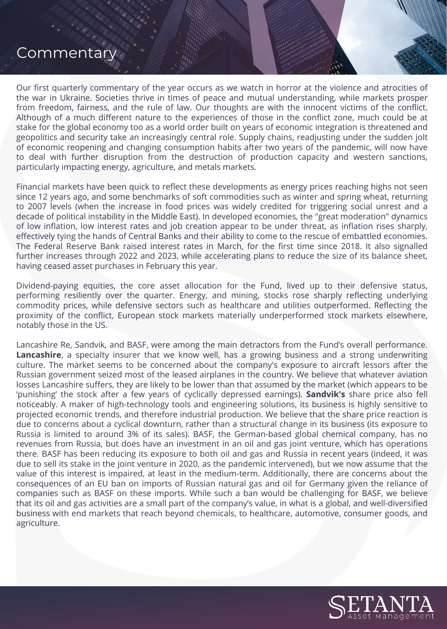## **Commentary**

Our first quarterly commentary of the year occurs as we watch in horror at the violence and atrocities of the war in Ukraine. Societies thrive in times of peace and mutual understanding, while markets prosper from freedom, fairness, and the rule of law. Our thoughts are with the innocent victims of the conflict. Although of a much different nature to the experiences of those in the conflict zone, much could be at stake for the global economy too as a world order built on years of economic integration is threatened and geopolitics and security take an increasingly central role. Supply chains, readjusting under the sudden jolt of economic reopening and changing consumption habits after two years of the pandemic, will now have to deal with further disruption from the destruction of production capacity and western sanctions, particularly impacting energy, agriculture, and metals markets.

Financial markets have been quick to reflect these developments as energy prices reaching highs not seen since 12 years ago, and some benchmarks of soft commodities such as winter and spring wheat, returning to 2007 levels (when the increase in food prices was widely credited for triggering social unrest and a decade of political instability in the Middle East). In developed economies, the "great moderation" dynamics of low inflation, low interest rates and job creation appear to be under threat, as inflation rises sharply, effectively tying the hands of Central Banks and their ability to come to the rescue of embattled economies. The Federal Reserve Bank raised interest rates in March, for the first time since 2018. It also signalled further increases through 2022 and 2023, while accelerating plans to reduce the size of its balance sheet, having ceased asset purchases in February this year.

Dividend-paying equities, the core asset allocation for the Fund, lived up to their defensive status, performing resiliently over the quarter. Energy, and mining, stocks rose sharply reflecting underlying commodity prices, while defensive sectors such as healthcare and utilities outperformed. Reflecting the proximity of the conflict, European stock markets materially underperformed stock markets elsewhere, notably those in the US.

Lancashire Re, Sandvik, and BASF, were among the main detractors from the Fund's overall performance. **Lancashire**, a specialty insurer that we know well, has a growing business and a strong underwriting culture. The market seems to be concerned about the company's exposure to aircraft lessors after the Russian government seized most of the leased airplanes in the country. We believe that whatever aviation losses Lancashire suffers, they are likely to be lower than that assumed by the market (which appears to be 'punishing' the stock after a few years of cyclically depressed earnings). **Sandvik's** share price also fell noticeably. A maker of high-technology tools and engineering solutions, its business is highly sensitive to projected economic trends, and therefore industrial production. We believe that the share price reaction is due to concerns about a cyclical downturn, rather than a structural change in its business (its exposure to Russia is limited to around 3% of its sales). BASF, the German-based global chemical company, has no revenues from Russia, but does have an investment in an oil and gas joint venture, which has operations there. BASF has been reducing its exposure to both oil and gas and Russia in recent years (indeed, it was due to sell its stake in the joint venture in 2020, as the pandemic intervened), but we now assume that the value of this interest is impaired, at least in the medium-term. Additionally, there are concerns about the consequences of an EU ban on imports of Russian natural gas and oil for Germany given the reliance of companies such as BASF on these imports. While such a ban would be challenging for BASF, we believe that its oil and gas activities are a small part of the company's value, in what is a global, and well-diversified business with end markets that reach beyond chemicals, to healthcare, automotive, consumer goods, and agriculture.

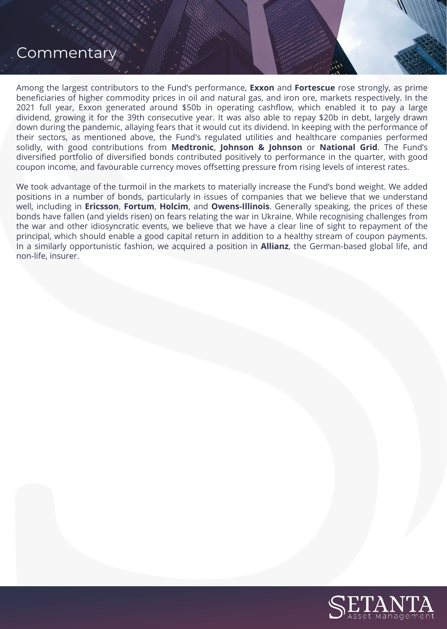# **Commentary**

Among the largest contributors to the Fund's performance, **Exxon** and **Fortescue** rose strongly, as prime beneficiaries of higher commodity prices in oil and natural gas, and iron ore, markets respectively. In the 2021 full year, Exxon generated around \$50b in operating cashflow, which enabled it to pay a large dividend, growing it for the 39th consecutive year. It was also able to repay \$20b in debt, largely drawn down during the pandemic, allaying fears that it would cut its dividend. In keeping with the performance of their sectors, as mentioned above, the Fund's regulated utilities and healthcare companies performed solidly, with good contributions from **Medtronic**, **Johnson & Johnson** or **National Grid**. The Fund's diversified portfolio of diversified bonds contributed positively to performance in the quarter, with good coupon income, and favourable currency moves offsetting pressure from rising levels of interest rates.

We took advantage of the turmoil in the markets to materially increase the Fund's bond weight. We added positions in a number of bonds, particularly in issues of companies that we believe that we understand well, including in **Ericsson**, **Fortum**, **Holcim**, and **Owens-Illinois**. Generally speaking, the prices of these bonds have fallen (and yields risen) on fears relating the war in Ukraine. While recognising challenges from the war and other idiosyncratic events, we believe that we have a clear line of sight to repayment of the principal, which should enable a good capital return in addition to a healthy stream of coupon payments. In a similarly opportunistic fashion, we acquired a position in **Allianz**, the German-based global life, and non-life, insurer.